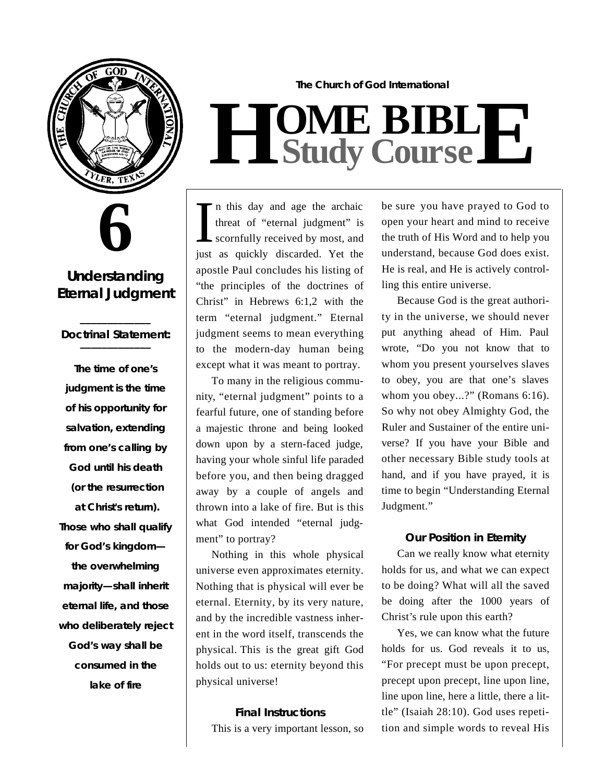

**6**

# **Understanding Eternal Judgment**

#### **\_\_\_\_\_\_\_\_\_\_\_\_\_** *Doctrinal Statement:* **\_\_\_\_\_\_\_\_\_\_\_\_\_**

**The time of one's judgment is the time of his opportunity for salvation, extending** from one's calling by **God until his death** (or the resurrection at Christ's return). **Those who shall qualify for God's kingdom the overwhelming majority—shall inherit eternal life, and those** who deliberately reject **God's way shall be consumed in the lake of fire**

**The Church of God International**  $H$  **Study Study Cour BIB s e L E**

In this day and age the archaic<br>threat of "eternal judgment" is<br>scornfully received by most, and<br>just as quickly discarded. Yet the n this day and age the archaic threat of "eternal judgment" is scornfully received by most, and apostle Paul concludes his listing of "the principles of the doctrines of Christ" in Hebrews 6:1,2 with the term "eternal judgment." Eternal judgment seems to mean everything to the modern-day human being except what it was meant to portray.

To many in the religious community, "eternal judgment" points to a fearful future, one of standing before a majestic throne and being looked down upon by a stern-faced judge, having your whole sinful life paraded before you, and then being dragged away by a couple of angels and thrown into a lake of fire. But is this what God intended "eternal judgment" to portray?

Nothing in this whole physical universe even approximates eternity. Nothing that is physical will ever be eternal. Eternity, by its very nature, and by the incredible vastness inherent in the word itself, transcends the physical. This is the great gift God holds out to us: eternity beyond this physical universe!

#### **Final Instructions**

This is a very important lesson, so

be sure you have prayed to God to open your heart and mind to receive the truth of His Word and to help you understand, because God does exist. He is real, and He is actively controlling this entire universe.

Because God is the great authority in the universe, we should never put anything ahead of Him. Paul wrote, "Do you not know that to whom you present yourselves slaves to obey, you are that one's slaves whom you obey...?" (Romans 6:16). So why not obey Almighty God, the Ruler and Sustainer of the entire universe? If you have your Bible and other necessary Bible study tools at hand, and if you have prayed, it is time to begin "Understanding Eternal Judgment."

# **Our Position in Eternity**

Can we really know what eternity holds for us, and what we can expect to be doing? What will all the saved be doing after the 1000 years of Christ's rule upon this earth?

Yes, we can know what the future holds for us. God reveals it to us, "For precept must be upon precept, precept upon precept, line upon line, line upon line, here a little, there a little" (Isaiah 28:10). God uses repetition and simple words to reveal His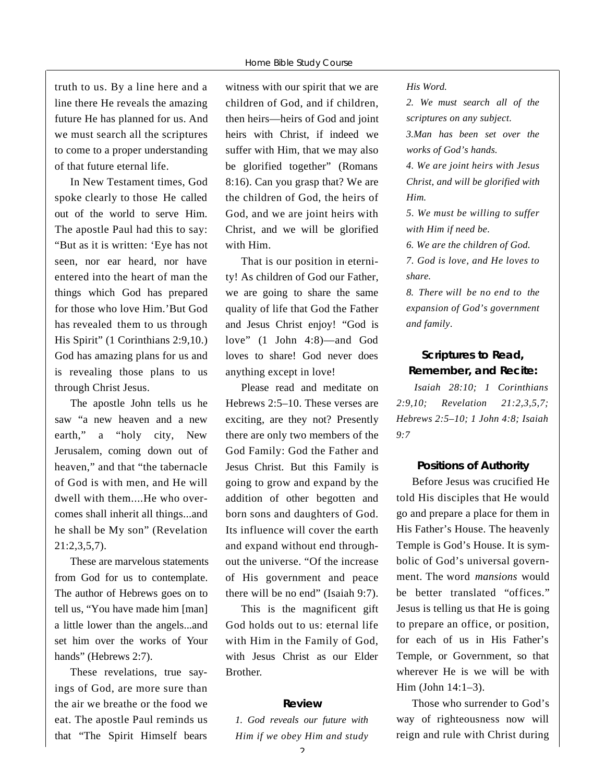truth to us. By a line here and a line there He reveals the amazing future He has planned for us. And we must search all the scriptures to come to a proper understanding of that future eternal life.

In New Testament times, God spoke clearly to those He called out of the world to serve Him. The apostle Paul had this to say: "But as it is written: 'Eye has not seen, nor ear heard, nor have entered into the heart of man the things which God has prepared for those who love Him.'But God has revealed them to us through His Spirit" (1 Corinthians 2:9,10.) God has amazing plans for us and is revealing those plans to us through Christ Jesus.

The apostle John tells us he saw "a new heaven and a new earth," a "holy city, New Jerusalem, coming down out of heaven," and that "the tabernacle of God is with men, and He will dwell with them....He who overcomes shall inherit all things...and he shall be My son" (Revelation  $21:2.3.5.7$ .

These are marvelous statements from God for us to contemplate. The author of Hebrews goes on to tell us, "You have made him [man] a little lower than the angels...and set him over the works of Your hands" (Hebrews 2:7).

These revelations, true sayings of God, are more sure than the air we breathe or the food we eat. The apostle Paul reminds us that "The Spirit Himself bears

witness with our spirit that we are children of God, and if children, then heirs—heirs of God and joint heirs with Christ, if indeed we suffer with Him, that we may also be glorified together" (Romans 8:16). Can you grasp that? We are the children of God, the heirs of God, and we are joint heirs with Christ, and we will be glorified with Him.

That is our position in eternity! As children of God our Father, we are going to share the same quality of life that God the Father and Jesus Christ enjoy! "God is love" (1 John 4:8)—and God loves to share! God never does anything except in love!

Please read and meditate on Hebrews 2:5–10. These verses are exciting, are they not? Presently there are only two members of the God Family: God the Father and Jesus Christ. But this Family is going to grow and expand by the addition of other begotten and born sons and daughters of God. Its influence will cover the earth and expand without end throughout the universe. "Of the increase of His government and peace there will be no end" (Isaiah 9:7).

This is the magnificent gift God holds out to us: eternal life with Him in the Family of God, with Jesus Christ as our Elder Brother.

#### **R e v i e w**

*1. God reveals our future with Him if we obey Him and study* His Word.

*2. We must search all of the scriptures on any subject.* 

*3.Man has been set over the works of God's hands.*

*4. We are joint heirs with Jesus Christ, and will be glorified with Him.* 

*5. We must be willing to suffer with Him if need be.*

*6. We are the children of God.*

*7. God is love, and He loves to s h a re .*

*8. There will be no end to the expansion of God's government and family*.

### **Scriptures to Read, Remember, and Recite:**

*Isaiah 28:10; 1 Corinthians 2:9,10; Revelation 21:2,3,5,7; H e b rews 2:5–10; 1 John 4:8; Isaiah 9 : 7*

#### **Positions of Authority**

Before Jesus was crucified He told His disciples that He would go and prepare a place for them in His Father's House. The heavenly Temple is God's House. It is symbolic of God's universal government. The word *mansions* would be better translated "offices." Jesus is telling us that He is going to prepare an office, or position, for each of us in His Father's Temple, or Government, so that wherever He is we will be with Him (John 14:1–3).

Those who surrender to God's way of righteousness now will reign and rule with Christ during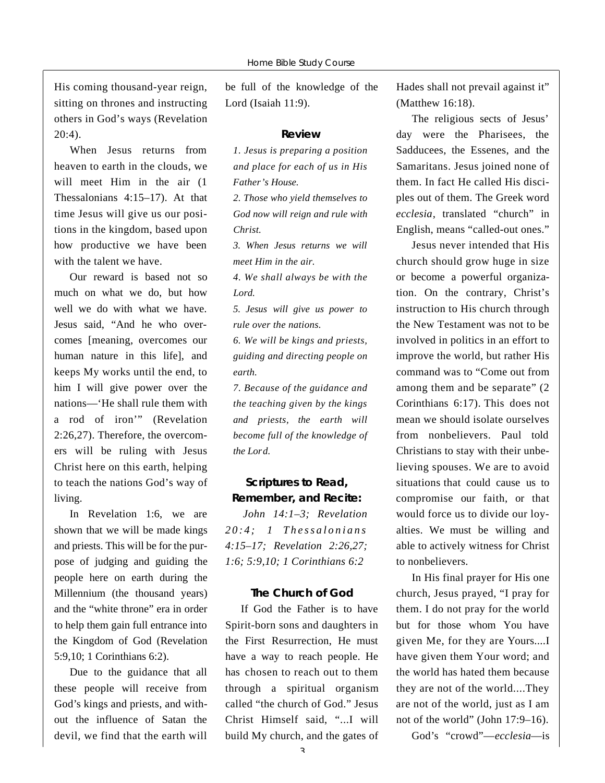His coming thousand-year reign, sitting on thrones and instructing others in God's ways (Revelation  $20:4$ ).

When Jesus returns from heaven to earth in the clouds, we will meet Him in the air (1) Thessalonians 4:15–17). At that time Jesus will give us our positions in the kingdom, based upon how productive we have been with the talent we have.

Our reward is based not so much on what we do, but how well we do with what we have. Jesus said, "And he who overcomes [meaning, overcomes our human nature in this life], and keeps My works until the end, to him I will give power over the nations—'He shall rule them with a rod of iron'" (Revelation 2:26,27). Therefore, the overcomers will be ruling with Jesus Christ here on this earth, helping to teach the nations God's way of living.

In Revelation 1:6, we are shown that we will be made kings and priests. This will be for the purpose of judging and guiding the people here on earth during the Millennium (the thousand years) and the "white throne" era in order to help them gain full entrance into the Kingdom of God (Revelation 5:9,10; 1 Corinthians 6:2).

Due to the guidance that all these people will receive from God's kings and priests, and without the influence of Satan the devil, we find that the earth will

be full of the knowledge of the Lord (Isaiah  $11:9$ ).

#### **R e v i e w**

*1. Jesus is preparing a position and place for each of us in His Father's House.* 

*2. Those who yield themselves to God now will reign and rule with*  $Christ.$ 

*3. When Jesus returns we will meet Him in the air.*

*4. We shall always be with the* Lord.

*5. Jesus will give us power to rule over the nations.*

*6. We will be kings and priests, guiding and directing people on*  $earth.$ 

*7. Because of the guidance and the teaching given by the kings and priests, the earth will become full of the knowledge of the Lord.* 

## **Scriptures to Read, Remember, and Recite:**

*John 14:1–3; Revelation 20:4; 1 Thessalonians 4:15–17; Revelation 2:26,27; 1:6; 5:9,10; 1 Corinthians 6:2*

#### **The Church of God**

If God the Father is to have Spirit-born sons and daughters in the First Resurrection, He must have a way to reach people. He has chosen to reach out to them through a spiritual organism called "the church of God." Jesus Christ Himself said, "...I will build My church, and the gates of Hades shall not prevail against it" (Matthew 16:18).

The religious sects of Jesus' day were the Pharisees, the Sadducees, the Essenes, and the Samaritans. Jesus joined none of them. In fact He called His disciples out of them. The Greek word *ecclesia*, translated "church" in English, means "called-out ones."

Jesus never intended that His church should grow huge in size or become a powerful organization. On the contrary, Christ's instruction to His church through the New Testament was not to be involved in politics in an effort to improve the world, but rather His command was to "Come out from among them and be separate" (2 Corinthians 6:17). This does not mean we should isolate ourselves from nonbelievers. Paul told Christians to stay with their unbelieving spouses. We are to avoid situations that could cause us to compromise our faith, or that would force us to divide our loyalties. We must be willing and able to actively witness for Christ to nonbelievers.

In His final prayer for His one church, Jesus prayed, "I pray for them. I do not pray for the world but for those whom You have given Me, for they are Yours....I have given them Your word; and the world has hated them because they are not of the world....They are not of the world, just as I am not of the world" (John 17:9–16).

God's "crowd"—ecclesia—is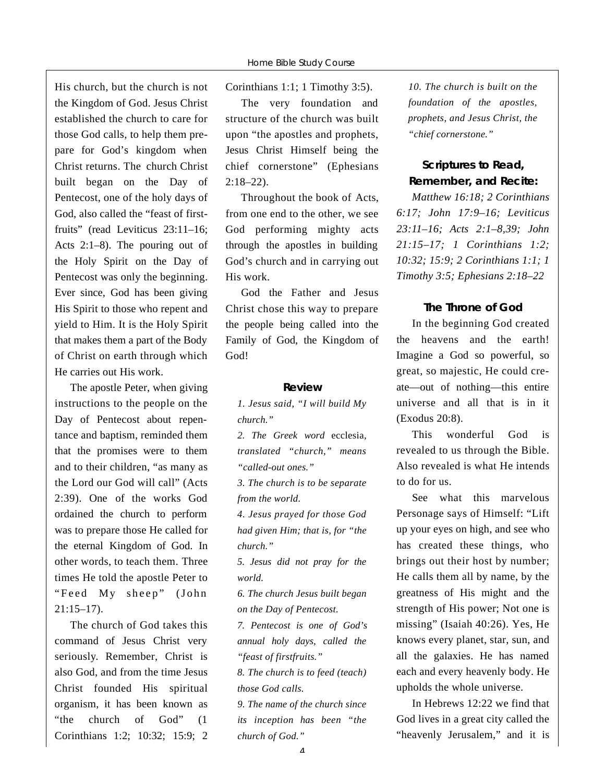His church, but the church is not the Kingdom of God. Jesus Christ established the church to care for those God calls, to help them prepare for God's kingdom when Christ returns. The church Christ built began on the Day of Pentecost, one of the holy days of God, also called the "feast of firstfruits" (read Leviticus  $23:11-16$ ; Acts 2:1–8). The pouring out of the Holy Spirit on the Day of Pentecost was only the beginning. Ever since, God has been giving His Spirit to those who repent and yield to Him. It is the Holy Spirit that makes them a part of the Body of Christ on earth through which He carries out His work.

The apostle Peter, when giving instructions to the people on the Day of Pentecost about repentance and baptism, reminded them that the promises were to them and to their children, "as many as the Lord our God will call" (Acts 2:39). One of the works God ordained the church to perform was to prepare those He called for the eternal Kingdom of God. In other words, to teach them. Three times He told the apostle Peter to "Feed My sheep" (John  $21:15-17$ ).

The church of God takes this command of Jesus Christ very seriously. Remember, Christ is also God, and from the time Jesus Christ founded His spiritual organism, it has been known as "the church of God" (1 Corinthians 1:2; 10:32; 15:9; 2

Corinthians 1:1; 1 Timothy 3:5).

The very foundation and structure of the church was built upon "the apostles and prophets, Jesus Christ Himself being the chief cornerstone" (Ephesians  $2:18 - 22$ .

Throughout the book of Acts, from one end to the other, we see God performing mighty acts through the apostles in building God's church and in carrying out His work.

God the Father and Jesus Christ chose this way to prepare the people being called into the Family of God, the Kingdom of God!

#### **R e v i e w**

*1. Jesus said, "I will build My church.*"

2. The Greek word ecclesia, *translated "church," means "called-out ones."*

*3. The church is to be separate from the world.* 

*4. Jesus prayed for those God had given Him; that is, for "the church.*"

*5. Jesus did not pray for the*  $world.$ 

*6. The church Jesus built began on the Day of Pentecost.*

*7. Pentecost is one of God's annual holy days, called the* "*feast of firstfruits.*"

*8. The church is to feed (teach) those God calls.*

*9. The name of the church since its inception has been "the church of God.*"

*10. The church is built on the foundation of the apostles, p rophets, and Jesus Christ, the "chief cornerstone."*

# **Scriptures to Read, Remember, and Recite:**

*Matthew 16:18; 2 Corinthians 6:17; John 17:9–16; Leviticus 2 3 : 11–16; Acts 2:1–8,39; John 21:15–17; 1 Corinthians 1:2; 10:32; 15:9; 2 Corinthians 1:1; 1 Timothy 3:5; Ephesians 2:18–22*

#### **The Throne of God**

In the beginning God created the heavens and the earth! Imagine a God so powerful, so great, so majestic, He could create—out of nothing—this entire universe and all that is in it (Exodus 20:8).

This wonderful God is revealed to us through the Bible. Also revealed is what He intends to do for us.

See what this marvelous Personage says of Himself: "Lift up your eyes on high, and see who has created these things, who brings out their host by number; He calls them all by name, by the greatness of His might and the strength of His power; Not one is missing" (Isaiah 40:26). Yes, He knows every planet, star, sun, and all the galaxies. He has named each and every heavenly body. He upholds the whole universe.

In Hebrews 12:22 we find that God lives in a great city called the "heavenly Jerusalem," and it is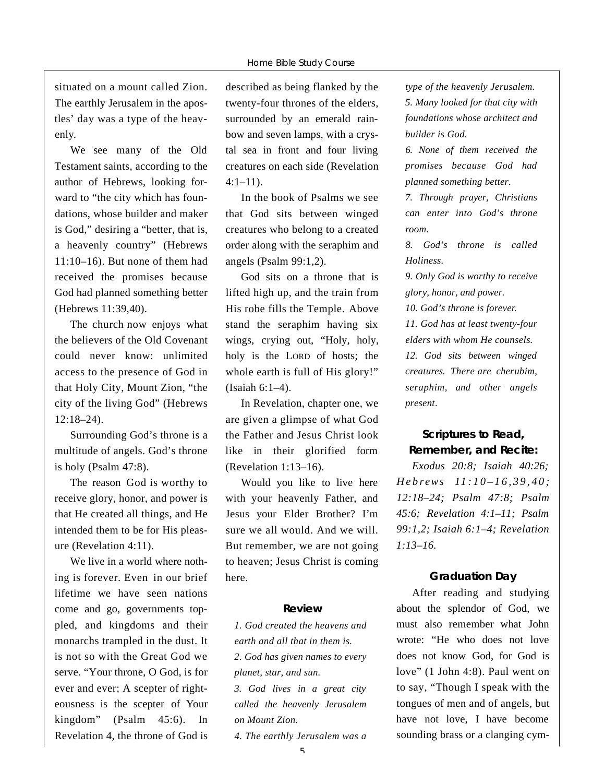situated on a mount called Zion. The earthly Jerusalem in the apostles' day was a type of the heavenly.

We see many of the Old Testament saints, according to the author of Hebrews, looking forward to "the city which has foundations, whose builder and maker is God," desiring a "better, that is, a heavenly country" (Hebrews 11:10–16). But none of them had received the promises because God had planned something better (Hebrews 11:39,40).

The church now enjoys what the believers of the Old Covenant could never know: unlimited access to the presence of God in that Holy City, Mount Zion, "the city of the living God" (Hebrews  $12:18 - 24$ .

Surrounding God's throne is a multitude of angels. God's throne is holy (Psalm 47:8).

The reason God is worthy to receive glory, honor, and power is that He created all things, and He intended them to be for His pleasure (Revelation 4:11).

We live in a world where nothing is forever. Even in our brief lifetime we have seen nations come and go, governments toppled, and kingdoms and their monarchs trampled in the dust. It is not so with the Great God we serve. "Your throne, O God, is for ever and ever; A scepter of righteousness is the scepter of Your kingdom" (Psalm 45:6). In Revelation 4, the throne of God is described as being flanked by the twenty-four thrones of the elders, surrounded by an emerald rainbow and seven lamps, with a crystal sea in front and four living creatures on each side (Revelation  $4:1 - 11$ .

In the book of Psalms we see that God sits between winged creatures who belong to a created order along with the seraphim and angels (Psalm 99:1,2).

God sits on a throne that is lifted high up, and the train from His robe fills the Temple. Above stand the seraphim having six wings, crying out, "Holy, holy, holy is the LORD of hosts; the whole earth is full of His glory!" (Isaiah 6:1–4).

In Revelation, chapter one, we are given a glimpse of what God the Father and Jesus Christ look like in their glorified form (Revelation 1:13–16).

Would you like to live here with your heavenly Father, and Jesus your Elder Brother? I'm sure we all would. And we will. But remember, we are not going to heaven; Jesus Christ is coming here.

#### **R e v i e w**

*1. God created the heavens and e a rth and all that in them is. 2. God has given names to every planet, star, and sun.* 

*3. God lives in a great city called the heavenly Jerusalem on Mount Zion.*

*4. The earthly Jerusalem was a*

*type of the heavenly Jerusalem. 5. Many looked for that city with foundations whose architect and builder is God.*

*6. None of them received the p romises because God had planned something better.*

*7. Through prayer, Christians can enter into God's throne room.* 

*8. God's throne is called*  $Holines.$ 

**9. Only God is worthy to receive** *g l o ry, honor, and power.*

10. God's throne is forever.

*11. God has at least twenty-four elders with whom He counsels. 12. God sits between winged creatures. There are cherubim, s e r a p h i m*, *and other angels*  $present.$ 

# **Scriptures to Read, Remember, and Recite:**

*Exodus 20:8; Isaiah 40:26; H e b r ews 11 : 1 0 – 1 6 , 3 9 , 4 0 ; 12:18–24; Psalm 47:8; Psalm 45:6; Revelation 4:1–11; Psalm 99:1,2; Isaiah 6:1–4; Revelation*  $1:13-16.$ 

#### **Graduation Day**

After reading and studying about the splendor of God, we must also remember what John wrote: "He who does not love does not know God, for God is love" (1 John 4:8). Paul went on to say, "Though I speak with the tongues of men and of angels, but have not love, I have become sounding brass or a clanging cym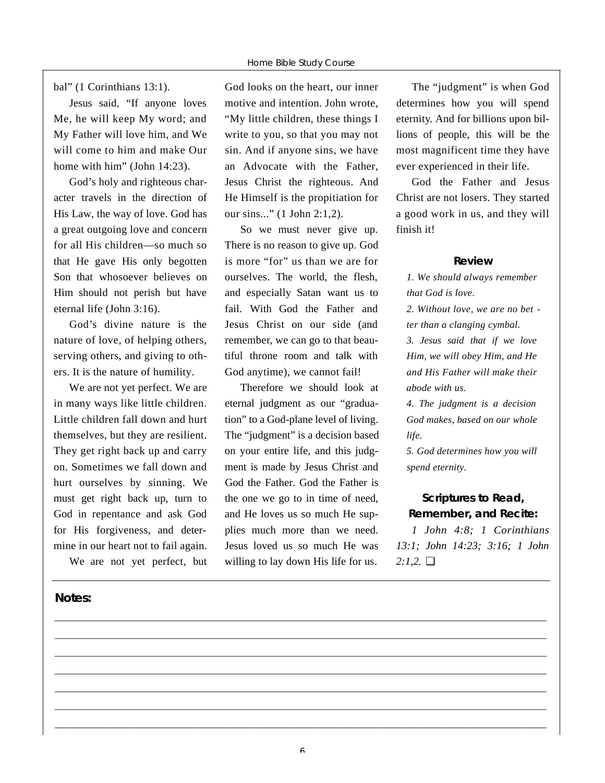bal" (1 Corinthians 13:1).

Jesus said, "If anyone loves Me, he will keep My word; and My Father will love him, and We will come to him and make Our home with him" (John 14:23).

God's holy and righteous character travels in the direction of His Law, the way of love. God has a great outgoing love and concern for all His children—so much so that He gave His only begotten Son that whosoever believes on Him should not perish but have eternal life (John 3:16).

God's divine nature is the nature of love, of helping others, serving others, and giving to others. It is the nature of humility.

We are not yet perfect. We are in many ways like little children. Little children fall down and hurt themselves, but they are resilient. They get right back up and carry on. Sometimes we fall down and hurt ourselves by sinning. We must get right back up, turn to God in repentance and ask God for His forgiveness, and determine in our heart not to fail again.

We are not yet perfect, but

#### **Notes:**

God looks on the heart, our inner motive and intention. John wrote, "My little children, these things I write to you, so that you may not sin. And if anyone sins, we have an Advocate with the Father, Jesus Christ the righteous. And He Himself is the propitiation for our sins..." (1 John 2:1,2).

So we must never give up. There is no reason to give up. God is more "for" us than we are for ourselves. The world, the flesh, and especially Satan want us to fail. With God the Father and Jesus Christ on our side (and remember, we can go to that beautiful throne room and talk with God anytime), we cannot fail!

Therefore we should look at eternal judgment as our "graduation" to a God-plane level of living. The "judgment" is a decision based on your entire life, and this judgment is made by Jesus Christ and God the Father. God the Father is the one we go to in time of need, and He loves us so much He supplies much more than we need. Jesus loved us so much He was willing to lay down His life for us.

The "judgment" is when God determines how you will spend eternity. And for billions upon billions of people, this will be the most magnificent time they have ever experienced in their life.

God the Father and Jesus Christ are not losers. They started a good work in us, and they will finish it!

#### **R e v i e w**

*1. We should always remember that God is love. 2. Without love, we are no bet ter than a clanging cymbal. 3. Jesus said that if we love Him, we will obey Him, and He and His Father will make their abode with us.*

*4. The judgment is a decision God makes, based on our whole life.* 

*5. God determines how you will spend eternity.* 

# Scriptures to Read, **Remember, and Recite:**

*1 John 4:8; 1 Corinthians 13:1; John 14:23; 3:16; 1 John 2:1,2.* ❏

**\_\_\_\_\_\_\_\_\_\_\_\_\_\_\_\_\_\_\_\_\_\_\_\_\_\_\_\_\_\_\_\_\_\_\_\_\_\_\_\_\_\_\_\_\_\_\_\_\_\_\_\_\_\_\_\_\_\_\_\_\_\_\_\_\_\_\_\_\_\_\_\_\_\_\_\_\_\_\_\_\_\_\_ \_\_\_\_\_\_\_\_\_\_\_\_\_\_\_\_\_\_\_\_\_\_\_\_\_\_\_\_\_\_\_\_\_\_\_\_\_\_\_\_\_\_\_\_\_\_\_\_\_\_\_\_\_\_\_\_\_\_\_\_\_\_\_\_\_\_\_\_\_\_\_\_\_\_\_\_\_\_\_\_\_\_\_ \_\_\_\_\_\_\_\_\_\_\_\_\_\_\_\_\_\_\_\_\_\_\_\_\_\_\_\_\_\_\_\_\_\_\_\_\_\_\_\_\_\_\_\_\_\_\_\_\_\_\_\_\_\_\_\_\_\_\_\_\_\_\_\_\_\_\_\_\_\_\_\_\_\_\_\_\_\_\_\_\_\_\_ \_\_\_\_\_\_\_\_\_\_\_\_\_\_\_\_\_\_\_\_\_\_\_\_\_\_\_\_\_\_\_\_\_\_\_\_\_\_\_\_\_\_\_\_\_\_\_\_\_\_\_\_\_\_\_\_\_\_\_\_\_\_\_\_\_\_\_\_\_\_\_\_\_\_\_\_\_\_\_\_\_\_\_ \_\_\_\_\_\_\_\_\_\_\_\_\_\_\_\_\_\_\_\_\_\_\_\_\_\_\_\_\_\_\_\_\_\_\_\_\_\_\_\_\_\_\_\_\_\_\_\_\_\_\_\_\_\_\_\_\_\_\_\_\_\_\_\_\_\_\_\_\_\_\_\_\_\_\_\_\_\_\_\_\_\_\_ \_\_\_\_\_\_\_\_\_\_\_\_\_\_\_\_\_\_\_\_\_\_\_\_\_\_\_\_\_\_\_\_\_\_\_\_\_\_\_\_\_\_\_\_\_\_\_\_\_\_\_\_\_\_\_\_\_\_\_\_\_\_\_\_\_\_\_\_\_\_\_\_\_\_\_\_\_\_\_\_\_\_\_ \_\_\_\_\_\_\_\_\_\_\_\_\_\_\_\_\_\_\_\_\_\_\_\_\_\_\_\_\_\_\_\_\_\_\_\_\_\_\_\_\_\_\_\_\_\_\_\_\_\_\_\_\_\_\_\_\_\_\_\_\_\_\_\_\_\_\_\_\_\_\_\_\_\_\_\_\_\_\_\_\_\_\_**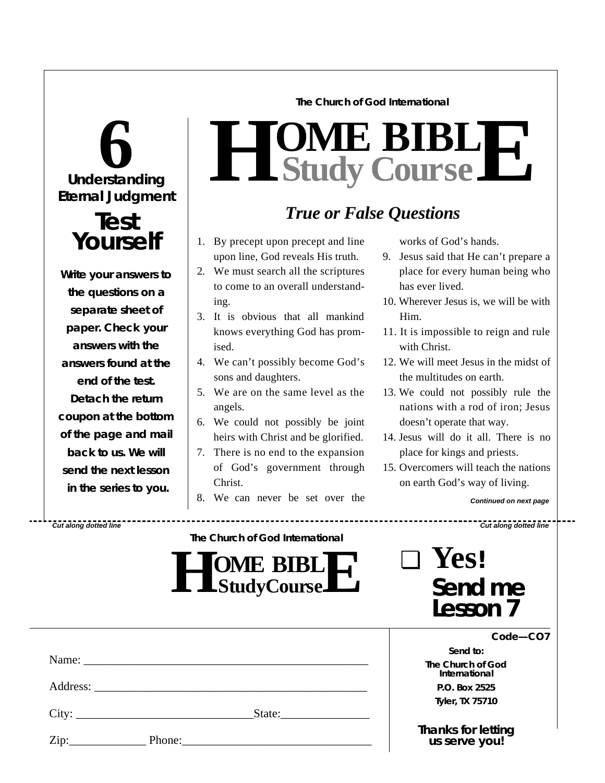#### **The Church of God International**



# **Test Yourself**

**Write your answers to the questions on a separate sheet of paper. Check** *your* **answers with the answers found at the end of the test. Detach the return coupon at the bottom of the page and mail back to us. We will send the next lesson in the series to you.**

# $H$  **Study Study Cour BIB s e L E**

# *True or False Questions*

- 1. By precept upon precept and line upon line, God reveals His truth.
- 2. We must search all the scriptures to come to an overall understanding.
- 3. It is obvious that all mankind knows everything God has promised.
- 4. We can't possibly become God's sons and daughters.
- 5. We are on the same level as the angels.
- 6. We could not possibly be joint heirs with Christ and be glorified.
- 7. There is no end to the expansion of God's government through Christ.
- 8. We can never be set over the

works of God's hands.

- 9. Jesus said that He can't prepare a place for every human being who has ever lived.
- 10. Wherever Jesus is, we will be with Him.
- 11. It is impossible to reign and rule with Christ.
- 12. We will meet Jesus in the midst of the multitudes on earth.
- 13. We could not possibly rule the nations with a rod of iron; Jesus doesn't operate that way.
- 14. Jesus will do it all. There is no place for kings and priests.
- 15. Overcomers will teach the nations on earth God's way of living.

*Continued on next page*

*Cut along dotted line Cut along dotted line*

| The Church of God International |  |
|---------------------------------|--|
|                                 |  |

| <b>JOME BIBLIT</b><br>L LStudyCourse L' |
|-----------------------------------------|
|-----------------------------------------|

| $\Box$ | Yes!                |
|--------|---------------------|
|        | Send me<br>Lesson 7 |

|      |       | Name:  | Sen<br>The Churd<br>Interna |
|------|-------|--------|-----------------------------|
|      |       |        | P.O. Bo                     |
|      | City: | State: | Tyler, T.                   |
| Zip: |       |        | Thanks f<br><i>us sert</i>  |

*Code—CO7*

*Send to:* **Chof God** *<u><b>Ational</u>* **P.O. Box 2525 Tyler, TX 75710**

*Thanks for letting us serve you!*